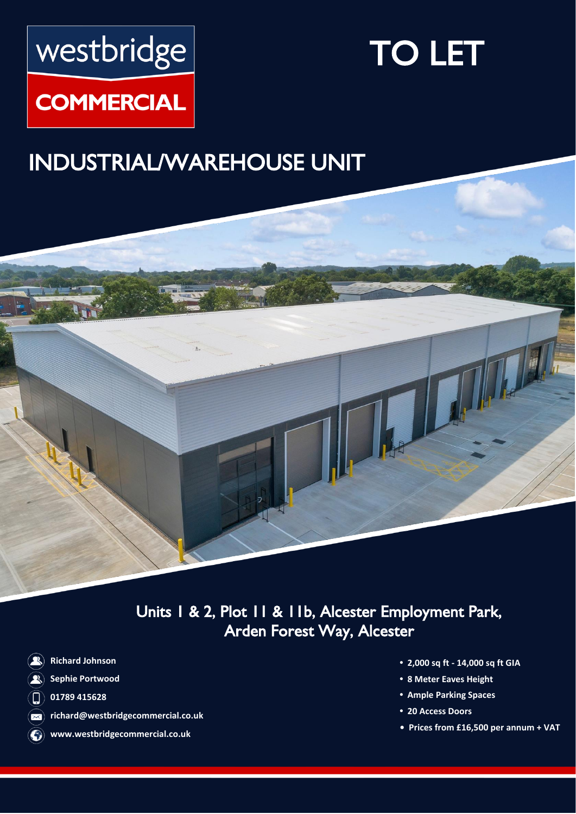# westbridge

## TO LET

### **COMMERCIAL**

## INDUSTRIAL/WAREHOUSE UNIT



Units 1 & 2, Plot 11 & 11b, Alcester Employment Park, Arden Forest Way, Alcester

- **Richard Johnson**
- **Sephie Portwood**
- **01789 415628**  $\Box$
- **richard@westbridgecommercial.co.uk**  $\infty$
- **www.westbridgecommercial.co.uk**
- **• 2,000 sq ft - 14,000 sq ft GIA**
- **• 8 Meter Eaves Height**
- **• Ample Parking Spaces**
- **• 20 Access Doors**
- **Prices from £16,500 per annum + VAT**